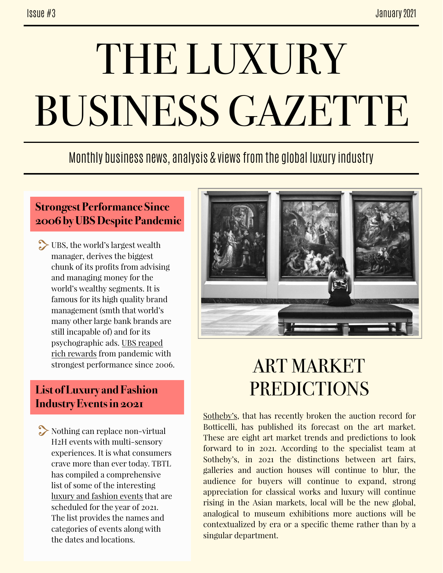# THE LUXURY BUSINESS GAZETTE

### Monthly business news, analysis & views from the global luxury industry

#### **Strongest Performance Since 2006 by UBS Despite Pandemic**

UBS, the world's largest wealth manager, derives the biggest chunk of its profits from advising and managing money for the world's wealthy segments. It is famous for its high quality brand management (smth that world's many other large bank brands are still incapable of) and for its psychographic ads. UBS reaped [rich rewards from pandemic wit](https://www.reuters.com/article/us-ubs-results/ubs-reaps-rich-rewards-from-pandemic-with-best-pre-tax-profit-since-2006-idUSKBN29V0IV)h strongest performance since 2006.

#### **List of Luxury and Fashion Industry Events in 2021**

Nothing can replace non-virtual H2H events with multi-sensory experiences. It is what consumers crave more than ever today. TBTL has compiled a comprehensive list of some of the interesting [luxury and fashion events](http://www.thebridgetoluxury.com/wp-content/uploads/2021/01/TBTL-List-Luxury-Events-2021-06012021.pdf) that are scheduled for the year of 2021. The list provides the names and categories of events along with the dates and locations.



## ART MARKET **PREDICTIONS**

[Sotheby's,](https://twitter.com/sothebys/status/1351586612124250115?s=21) that has recently broken the auction record for Botticelli, has published its forecast on the art market. These are eight art market trends and predictions to look forward to in 2021. According to the specialist team at Sotheby's, in 2021 the distinctions between art fairs, galleries and auction houses will continue to blur, the audience for buyers will continue to expand, strong appreciation for classical works and luxury will continue rising in the Asian markets, local will be the new global, analogical to museum exhibitions more auctions will be contextualized by era or a specific theme rather than by a singular department.